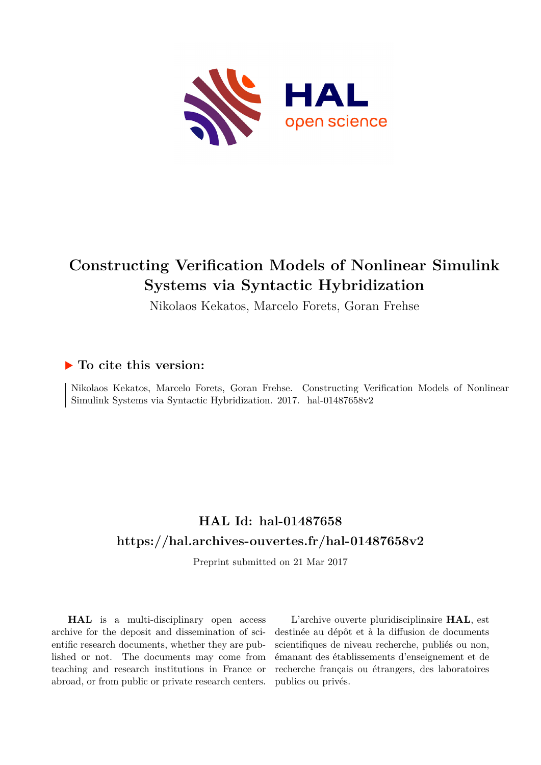

# **Constructing Verification Models of Nonlinear Simulink Systems via Syntactic Hybridization**

Nikolaos Kekatos, Marcelo Forets, Goran Frehse

### **To cite this version:**

Nikolaos Kekatos, Marcelo Forets, Goran Frehse. Constructing Verification Models of Nonlinear Simulink Systems via Syntactic Hybridization. 2017. hal-01487658v2

## **HAL Id: hal-01487658 <https://hal.archives-ouvertes.fr/hal-01487658v2>**

Preprint submitted on 21 Mar 2017

**HAL** is a multi-disciplinary open access archive for the deposit and dissemination of scientific research documents, whether they are published or not. The documents may come from teaching and research institutions in France or abroad, or from public or private research centers.

L'archive ouverte pluridisciplinaire **HAL**, est destinée au dépôt et à la diffusion de documents scientifiques de niveau recherche, publiés ou non, émanant des établissements d'enseignement et de recherche français ou étrangers, des laboratoires publics ou privés.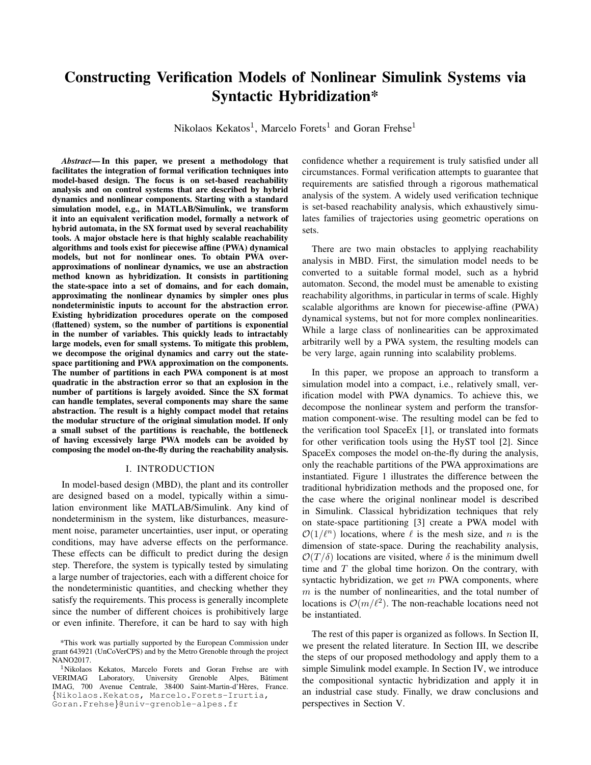### Constructing Verification Models of Nonlinear Simulink Systems via Syntactic Hybridization\*

Nikolaos Kekatos<sup>1</sup>, Marcelo Forets<sup>1</sup> and Goran Frehse<sup>1</sup>

*Abstract*— In this paper, we present a methodology that facilitates the integration of formal verification techniques into model-based design. The focus is on set-based reachability analysis and on control systems that are described by hybrid dynamics and nonlinear components. Starting with a standard simulation model, e.g., in MATLAB/Simulink, we transform it into an equivalent verification model, formally a network of hybrid automata, in the SX format used by several reachability tools. A major obstacle here is that highly scalable reachability algorithms and tools exist for piecewise affine (PWA) dynamical models, but not for nonlinear ones. To obtain PWA overapproximations of nonlinear dynamics, we use an abstraction method known as hybridization. It consists in partitioning the state-space into a set of domains, and for each domain, approximating the nonlinear dynamics by simpler ones plus nondeterministic inputs to account for the abstraction error. Existing hybridization procedures operate on the composed (flattened) system, so the number of partitions is exponential in the number of variables. This quickly leads to intractably large models, even for small systems. To mitigate this problem, we decompose the original dynamics and carry out the statespace partitioning and PWA approximation on the components. The number of partitions in each PWA component is at most quadratic in the abstraction error so that an explosion in the number of partitions is largely avoided. Since the SX format can handle templates, several components may share the same abstraction. The result is a highly compact model that retains the modular structure of the original simulation model. If only a small subset of the partitions is reachable, the bottleneck of having excessively large PWA models can be avoided by composing the model on-the-fly during the reachability analysis.

#### I. INTRODUCTION

In model-based design (MBD), the plant and its controller are designed based on a model, typically within a simulation environment like MATLAB/Simulink. Any kind of nondeterminism in the system, like disturbances, measurement noise, parameter uncertainties, user input, or operating conditions, may have adverse effects on the performance. These effects can be difficult to predict during the design step. Therefore, the system is typically tested by simulating a large number of trajectories, each with a different choice for the nondeterministic quantities, and checking whether they satisfy the requirements. This process is generally incomplete since the number of different choices is prohibitively large or even infinite. Therefore, it can be hard to say with high

confidence whether a requirement is truly satisfied under all circumstances. Formal verification attempts to guarantee that requirements are satisfied through a rigorous mathematical analysis of the system. A widely used verification technique is set-based reachability analysis, which exhaustively simulates families of trajectories using geometric operations on sets.

There are two main obstacles to applying reachability analysis in MBD. First, the simulation model needs to be converted to a suitable formal model, such as a hybrid automaton. Second, the model must be amenable to existing reachability algorithms, in particular in terms of scale. Highly scalable algorithms are known for piecewise-affine (PWA) dynamical systems, but not for more complex nonlinearities. While a large class of nonlinearities can be approximated arbitrarily well by a PWA system, the resulting models can be very large, again running into scalability problems.

In this paper, we propose an approach to transform a simulation model into a compact, i.e., relatively small, verification model with PWA dynamics. To achieve this, we decompose the nonlinear system and perform the transformation component-wise. The resulting model can be fed to the verification tool SpaceEx [1], or translated into formats for other verification tools using the HyST tool [2]. Since SpaceEx composes the model on-the-fly during the analysis, only the reachable partitions of the PWA approximations are instantiated. Figure 1 illustrates the difference between the traditional hybridization methods and the proposed one, for the case where the original nonlinear model is described in Simulink. Classical hybridization techniques that rely on state-space partitioning [3] create a PWA model with  $\mathcal{O}(1/\ell^n)$  locations, where  $\ell$  is the mesh size, and n is the dimension of state-space. During the reachability analysis,  $\mathcal{O}(T/\delta)$  locations are visited, where  $\delta$  is the minimum dwell time and  $T$  the global time horizon. On the contrary, with syntactic hybridization, we get  $m$  PWA components, where  $m$  is the number of nonlinearities, and the total number of locations is  $\mathcal{O}(m/\ell^2)$ . The non-reachable locations need not be instantiated.

The rest of this paper is organized as follows. In Section II, we present the related literature. In Section III, we describe the steps of our proposed methodology and apply them to a simple Simulink model example. In Section IV, we introduce the compositional syntactic hybridization and apply it in an industrial case study. Finally, we draw conclusions and perspectives in Section V.

<sup>\*</sup>This work was partially supported by the European Commission under grant 643921 (UnCoVerCPS) and by the Metro Grenoble through the project NANO2017.

<sup>&</sup>lt;sup>1</sup>Nikolaos Kekatos, Marcelo Forets and Goran Frehse are with<br>VERIMAG Laboratory, University Grenoble Alpes, Bâtiment Laboratory, University IMAG, 700 Avenue Centrale, 38400 Saint-Martin-d'Heres, France. ` {Nikolaos.Kekatos, Marcelo.Forets-Irurtia, Goran.Frehse}@univ-grenoble-alpes.fr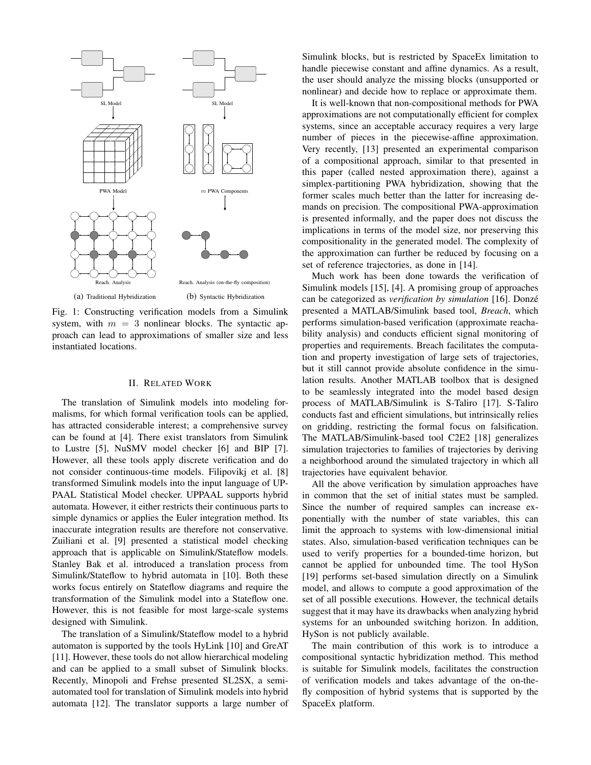

Fig. 1: Constructing verification models from a Simulink system, with  $m = 3$  nonlinear blocks. The syntactic approach can lead to approximations of smaller size and less instantiated locations.

#### II. RELATED WORK

The translation of Simulink models into modeling formalisms, for which formal verification tools can be applied, has attracted considerable interest; a comprehensive survey can be found at [4]. There exist translators from Simulink to Lustre [5], NuSMV model checker [6] and BIP [7]. However, all these tools apply discrete verification and do not consider continuous-time models. Filipovikj et al. [8] transformed Simulink models into the input language of UP-PAAL Statistical Model checker. UPPAAL supports hybrid automata. However, it either restricts their continuous parts to simple dynamics or applies the Euler integration method. Its inaccurate integration results are therefore not conservative. Zuiliani et al. [9] presented a statistical model checking approach that is applicable on Simulink/Stateflow models. Stanley Bak et al. introduced a translation process from Simulink/Stateflow to hybrid automata in [10]. Both these works focus entirely on Stateflow diagrams and require the transformation of the Simulink model into a Stateflow one. However, this is not feasible for most large-scale systems designed with Simulink.

The translation of a Simulink/Stateflow model to a hybrid automaton is supported by the tools HyLink [10] and GreAT [11]. However, these tools do not allow hierarchical modeling and can be applied to a small subset of Simulink blocks. Recently, Minopoli and Frehse presented SL2SX, a semiautomated tool for translation of Simulink models into hybrid automata [12]. The translator supports a large number of

Simulink blocks, but is restricted by SpaceEx limitation to handle piecewise constant and affine dynamics. As a result, the user should analyze the missing blocks (unsupported or nonlinear) and decide how to replace or approximate them.

It is well-known that non-compositional methods for PWA approximations are not computationally efficient for complex systems, since an acceptable accuracy requires a very large number of pieces in the piecewise-affine approximation. Very recently, [13] presented an experimental comparison of a compositional approach, similar to that presented in this paper (called nested approximation there), against a simplex-partitioning PWA hybridization, showing that the former scales much better than the latter for increasing demands on precision. The compositional PWA-approximation is presented informally, and the paper does not discuss the implications in terms of the model size, nor preserving this compositionality in the generated model. The complexity of the approximation can further be reduced by focusing on a set of reference trajectories, as done in [14].

Much work has been done towards the verification of Simulink models [15], [4]. A promising group of approaches can be categorized as *verification by simulation* [16]. Donze´ presented a MATLAB/Simulink based tool, *Breach*, which performs simulation-based verification (approximate reachability analysis) and conducts efficient signal monitoring of properties and requirements. Breach facilitates the computation and property investigation of large sets of trajectories, but it still cannot provide absolute confidence in the simulation results. Another MATLAB toolbox that is designed to be seamlessly integrated into the model based design process of MATLAB/Simulink is S-Taliro [17]. S-Taliro conducts fast and efficient simulations, but intrinsically relies on gridding, restricting the formal focus on falsification. The MATLAB/Simulink-based tool C2E2 [18] generalizes simulation trajectories to families of trajectories by deriving a neighborhood around the simulated trajectory in which all trajectories have equivalent behavior.

All the above verification by simulation approaches have in common that the set of initial states must be sampled. Since the number of required samples can increase exponentially with the number of state variables, this can limit the approach to systems with low-dimensional initial states. Also, simulation-based verification techniques can be used to verify properties for a bounded-time horizon, but cannot be applied for unbounded time. The tool HySon [19] performs set-based simulation directly on a Simulink model, and allows to compute a good approximation of the set of all possible executions. However, the technical details suggest that it may have its drawbacks when analyzing hybrid systems for an unbounded switching horizon. In addition, HySon is not publicly available.

The main contribution of this work is to introduce a compositional syntactic hybridization method. This method is suitable for Simulink models, facilitates the construction of verification models and takes advantage of the on-thefly composition of hybrid systems that is supported by the SpaceEx platform.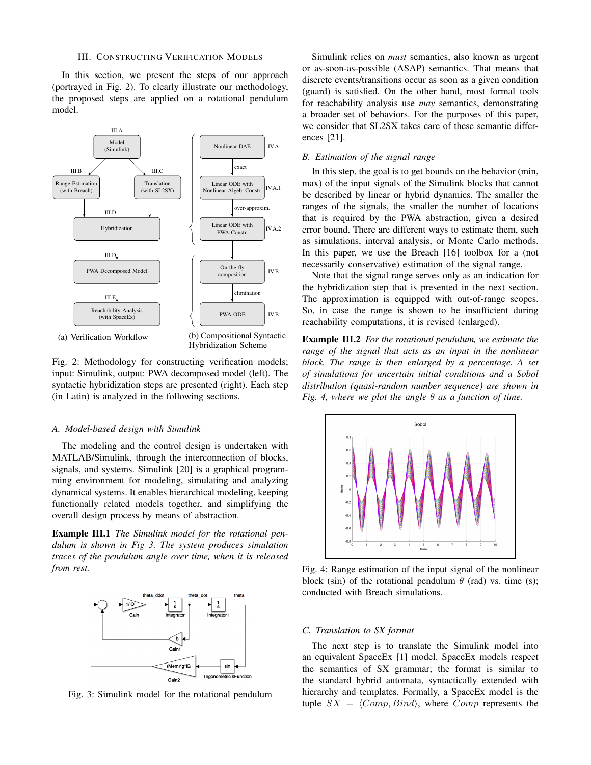#### III. CONSTRUCTING VERIFICATION MODELS

In this section, we present the steps of our approach (portrayed in Fig. 2). To clearly illustrate our methodology, the proposed steps are applied on a rotational pendulum model.



(a) Verification Workflow

Hybridization Scheme

Fig. 2: Methodology for constructing verification models; input: Simulink, output: PWA decomposed model (left). The syntactic hybridization steps are presented (right). Each step (in Latin) is analyzed in the following sections.

#### *A. Model-based design with Simulink*

The modeling and the control design is undertaken with MATLAB/Simulink, through the interconnection of blocks, signals, and systems. Simulink [20] is a graphical programming environment for modeling, simulating and analyzing dynamical systems. It enables hierarchical modeling, keeping functionally related models together, and simplifying the overall design process by means of abstraction.

Example III.1 *The Simulink model for the rotational pendulum is shown in Fig 3. The system produces simulation traces of the pendulum angle over time, when it is released from rest.*



Fig. 3: Simulink model for the rotational pendulum

Simulink relies on *must* semantics, also known as urgent or as-soon-as-possible (ASAP) semantics. That means that discrete events/transitions occur as soon as a given condition (guard) is satisfied. On the other hand, most formal tools for reachability analysis use *may* semantics, demonstrating a broader set of behaviors. For the purposes of this paper, we consider that SL2SX takes care of these semantic differences [21].

#### *B. Estimation of the signal range*

In this step, the goal is to get bounds on the behavior (min, max) of the input signals of the Simulink blocks that cannot be described by linear or hybrid dynamics. The smaller the ranges of the signals, the smaller the number of locations that is required by the PWA abstraction, given a desired error bound. There are different ways to estimate them, such as simulations, interval analysis, or Monte Carlo methods. In this paper, we use the Breach [16] toolbox for a (not necessarily conservative) estimation of the signal range.

Note that the signal range serves only as an indication for the hybridization step that is presented in the next section. The approximation is equipped with out-of-range scopes. So, in case the range is shown to be insufficient during reachability computations, it is revised (enlarged).

Example III.2 *For the rotational pendulum, we estimate the range of the signal that acts as an input in the nonlinear block. The range is then enlarged by a percentage. A set of simulations for uncertain initial conditions and a Sobol distribution (quasi-random number sequence) are shown in Fig. 4, where we plot the angle* θ *as a function of time.*



Fig. 4: Range estimation of the input signal of the nonlinear block (sin) of the rotational pendulum  $\theta$  (rad) vs. time (s); conducted with Breach simulations.

#### *C. Translation to SX format*

The next step is to translate the Simulink model into an equivalent SpaceEx [1] model. SpaceEx models respect the semantics of SX grammar; the format is similar to the standard hybrid automata, syntactically extended with hierarchy and templates. Formally, a SpaceEx model is the tuple  $SX = \langle Comp, Bind \rangle$ , where Comp represents the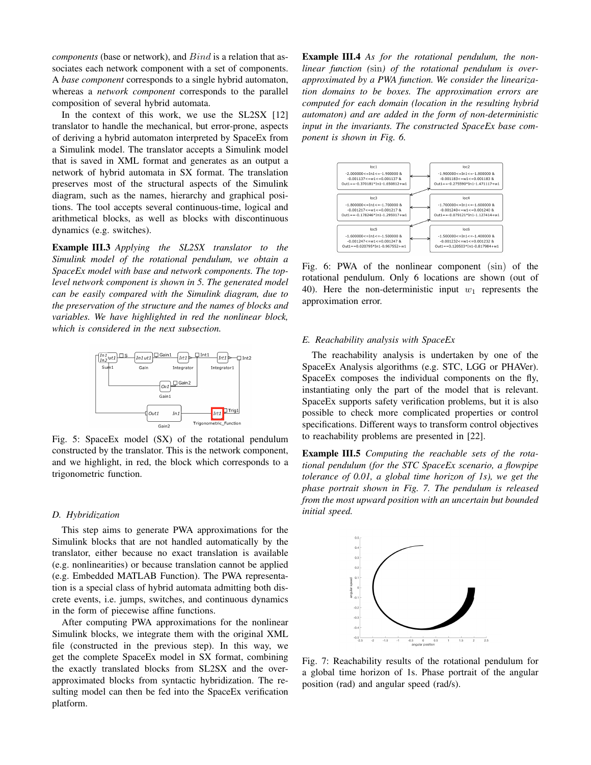*components* (base or network), and  $Bind$  is a relation that associates each network component with a set of components. A *base component* corresponds to a single hybrid automaton, whereas a *network component* corresponds to the parallel composition of several hybrid automata.

In the context of this work, we use the SL2SX [12] translator to handle the mechanical, but error-prone, aspects of deriving a hybrid automaton interpreted by SpaceEx from a Simulink model. The translator accepts a Simulink model that is saved in XML format and generates as an output a network of hybrid automata in SX format. The translation preserves most of the structural aspects of the Simulink diagram, such as the names, hierarchy and graphical positions. The tool accepts several continuous-time, logical and arithmetical blocks, as well as blocks with discontinuous dynamics (e.g. switches).

Example III.3 *Applying the SL2SX translator to the Simulink model of the rotational pendulum, we obtain a SpaceEx model with base and network components. The toplevel network component is shown in 5. The generated model can be easily compared with the Simulink diagram, due to the preservation of the structure and the names of blocks and variables. We have highlighted in red the nonlinear block, which is considered in the next subsection.*



Fig. 5: SpaceEx model (SX) of the rotational pendulum constructed by the translator. This is the network component, and we highlight, in red, the block which corresponds to a trigonometric function.

#### *D. Hybridization*

This step aims to generate PWA approximations for the Simulink blocks that are not handled automatically by the translator, either because no exact translation is available (e.g. nonlinearities) or because translation cannot be applied (e.g. Embedded MATLAB Function). The PWA representation is a special class of hybrid automata admitting both discrete events, i.e. jumps, switches, and continuous dynamics in the form of piecewise affine functions.

After computing PWA approximations for the nonlinear Simulink blocks, we integrate them with the original XML file (constructed in the previous step). In this way, we get the complete SpaceEx model in SX format, combining the exactly translated blocks from SL2SX and the overapproximated blocks from syntactic hybridization. The resulting model can then be fed into the SpaceEx verification platform.

Example III.4 *As for the rotational pendulum, the nonlinear function (*sin*) of the rotational pendulum is overapproximated by a PWA function. We consider the linearization domains to be boxes. The approximation errors are computed for each domain (location in the resulting hybrid automaton) and are added in the form of non-deterministic input in the invariants. The constructed SpaceEx base component is shown in Fig. 6.*



Fig. 6: PWA of the nonlinear component (sin) of the rotational pendulum. Only 6 locations are shown (out of 40). Here the non-deterministic input  $w_1$  represents the approximation error.

#### *E. Reachability analysis with SpaceEx*

The reachability analysis is undertaken by one of the SpaceEx Analysis algorithms (e.g. STC, LGG or PHAVer). SpaceEx composes the individual components on the fly, instantiating only the part of the model that is relevant. SpaceEx supports safety verification problems, but it is also possible to check more complicated properties or control specifications. Different ways to transform control objectives to reachability problems are presented in [22].

Example III.5 *Computing the reachable sets of the rotational pendulum (for the STC SpaceEx scenario, a flowpipe tolerance of 0.01, a global time horizon of 1s), we get the phase portrait shown in Fig. 7. The pendulum is released from the most upward position with an uncertain but bounded initial speed.*



Fig. 7: Reachability results of the rotational pendulum for a global time horizon of 1s. Phase portrait of the angular position (rad) and angular speed (rad/s).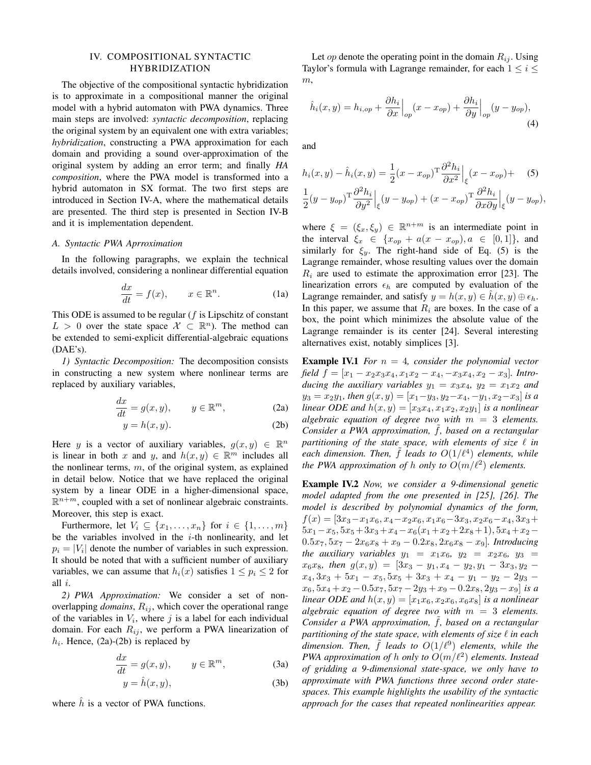#### IV. COMPOSITIONAL SYNTACTIC HYBRIDIZATION

The objective of the compositional syntactic hybridization is to approximate in a compositional manner the original model with a hybrid automaton with PWA dynamics. Three main steps are involved: *syntactic decomposition*, replacing the original system by an equivalent one with extra variables; *hybridization*, constructing a PWA approximation for each domain and providing a sound over-approximation of the original system by adding an error term; and finally *HA composition*, where the PWA model is transformed into a hybrid automaton in SX format. The two first steps are introduced in Section IV-A, where the mathematical details are presented. The third step is presented in Section IV-B and it is implementation dependent.

#### *A. Syntactic PWA Aprroximation*

In the following paragraphs, we explain the technical details involved, considering a nonlinear differential equation

$$
\frac{dx}{dt} = f(x), \qquad x \in \mathbb{R}^n. \tag{1a}
$$

This ODE is assumed to be regular  $(f$  is Lipschitz of constant  $L > 0$  over the state space  $\mathcal{X} \subset \mathbb{R}^n$ ). The method can be extended to semi-explicit differential-algebraic equations (DAE's).

*1) Syntactic Decomposition:* The decomposition consists in constructing a new system where nonlinear terms are replaced by auxiliary variables,

$$
\frac{dx}{dt} = g(x, y), \qquad y \in \mathbb{R}^m,
$$
 (2a)

$$
y = h(x, y). \tag{2b}
$$

Here y is a vector of auxiliary variables,  $g(x, y) \in \mathbb{R}^n$ is linear in both x and y, and  $h(x, y) \in \mathbb{R}^m$  includes all the nonlinear terms,  $m$ , of the original system, as explained in detail below. Notice that we have replaced the original system by a linear ODE in a higher-dimensional space,  $\mathbb{R}^{n+m}$ , coupled with a set of nonlinear algebraic constraints. Moreover, this step is exact.

Furthermore, let  $V_i \subseteq \{x_1, \ldots, x_n\}$  for  $i \in \{1, \ldots, m\}$ be the variables involved in the  $i$ -th nonlinearity, and let  $p_i = |V_i|$  denote the number of variables in such expression. It should be noted that with a sufficient number of auxiliary variables, we can assume that  $h_i(x)$  satisfies  $1 \leq p_i \leq 2$  for all i.

*2) PWA Approximation:* We consider a set of nonoverlapping *domains*,  $R_{ij}$ , which cover the operational range of the variables in  $V_i$ , where j is a label for each individual domain. For each  $R_{ij}$ , we perform a PWA linearization of  $h_i$ . Hence, (2a)-(2b) is replaced by

$$
\frac{dx}{dt} = g(x, y), \qquad y \in \mathbb{R}^m,
$$
\n(3a)

$$
y = \hat{h}(x, y),\tag{3b}
$$

where  $\hat{h}$  is a vector of PWA functions.

Let *op* denote the operating point in the domain  $R_{ij}$ . Using Taylor's formula with Lagrange remainder, for each  $1 \leq i \leq$  $m,$ 

$$
\hat{h}_i(x,y) = h_{i,op} + \frac{\partial h_i}{\partial x}\Big|_{op}(x - x_{op}) + \frac{\partial h_i}{\partial y}\Big|_{op}(y - y_{op}),\tag{4}
$$

and

$$
h_i(x, y) - \hat{h}_i(x, y) = \frac{1}{2} (x - x_{op})^{\mathrm{T}} \frac{\partial^2 h_i}{\partial x^2} \Big|_{\xi} (x - x_{op}) + \quad (5)
$$
  

$$
\frac{1}{2} (y - y_{op})^{\mathrm{T}} \frac{\partial^2 h_i}{\partial y^2} \Big|_{\xi} (y - y_{op}) + (x - x_{op})^{\mathrm{T}} \frac{\partial^2 h_i}{\partial x \partial y} \Big|_{\xi} (y - y_{op}),
$$

where  $\xi = (\xi_x, \xi_y) \in \mathbb{R}^{n+m}$  is an intermediate point in the interval  $\xi_x \in \{x_{op} + a(x - x_{op}), a \in [0,1]\},\$ and similarly for  $\xi_y$ . The right-hand side of Eq. (5) is the Lagrange remainder, whose resulting values over the domain  $R_i$  are used to estimate the approximation error [23]. The linearization errors  $\epsilon_h$  are computed by evaluation of the Lagrange remainder, and satisfy  $y = h(x, y) \in h(x, y) \oplus \epsilon_h$ . In this paper, we assume that  $R_i$  are boxes. In the case of a box, the point which minimizes the absolute value of the Lagrange remainder is its center [24]. Several interesting alternatives exist, notably simplices [3].

**Example IV.1** *For*  $n = 4$ *, consider the polynomial vector field*  $f = [x_1 - x_2x_3x_4, x_1x_2 - x_4, -x_3x_4, x_2 - x_3]$ *. Introducing the auxiliary variables*  $y_1 = x_3x_4$ ,  $y_2 = x_1x_2$  *and*  $y_3 = x_2y_1$ *, then*  $g(x, y) = [x_1-y_3, y_2-x_4, -y_1, x_2-x_3]$  *is a linear ODE and*  $h(x, y) = [x_3x_4, x_1x_2, x_2y_1]$  *is a nonlinear algebraic equation of degree two with* m = 3 *elements. Consider a PWA approximation,* ˜f*, based on a rectangular partitioning of the state space, with elements of size*  $\ell$  *in* each dimension. Then,  $\tilde{f}$  *leads to*  $O(1/\ell^4)$  elements, while *the PWA approximation of h only to*  $O(m/\ell^2)$  *elements.* 

Example IV.2 *Now, we consider a 9-dimensional genetic model adapted from the one presented in [25], [26]. The model is described by polynomial dynamics of the form,*  $f(x) = [3x_3 - x_1x_6, x_4 - x_2x_6, x_1x_6 - 3x_3, x_2x_6 - x_4, 3x_3 +$  $5x_1-x_5$ ,  $5x_5+3x_3+x_4-x_6(x_1+x_2+2x_8+1)$ ,  $5x_4+x_2 0.5x_7, 5x_7 - 2x_6x_8 + x_9 - 0.2x_8, 2x_6x_8 - x_9$ *]. Introducing the auxiliary variables*  $y_1 = x_1x_6, y_2 = x_2x_6, y_3 = x_4x_6$  $x_6x_8$ *, then*  $g(x,y) = [3x_3 - y_1, x_4 - y_2, y_1 - 3x_3, y_2$  $x_4$ ,  $3x_3 + 5x_1 - x_5$ ,  $5x_5 + 3x_3 + x_4 - y_1 - y_2 - 2y_3$  $x_6, 5x_4 + x_2 - 0.5x_7, 5x_7 - 2y_3 + x_9 - 0.2x_8, 2y_3 - x_9$  *is a linear ODE and*  $h(x, y) = [x_1x_6, x_2x_6, x_6x_8]$  *is a nonlinear algebraic equation of degree two with* m = 3 *elements. Consider a PWA approximation,* ˜f*, based on a rectangular partitioning of the state space, with elements of size*  $\ell$  *in each dimension. Then,* ˜f *leads to* O(1/`<sup>9</sup> ) *elements, while the PWA approximation of h only to*  $O(m/\ell^2)$  *elements. Instead of gridding a 9-dimensional state-space, we only have to approximate with PWA functions three second order statespaces. This example highlights the usability of the syntactic approach for the cases that repeated nonlinearities appear.*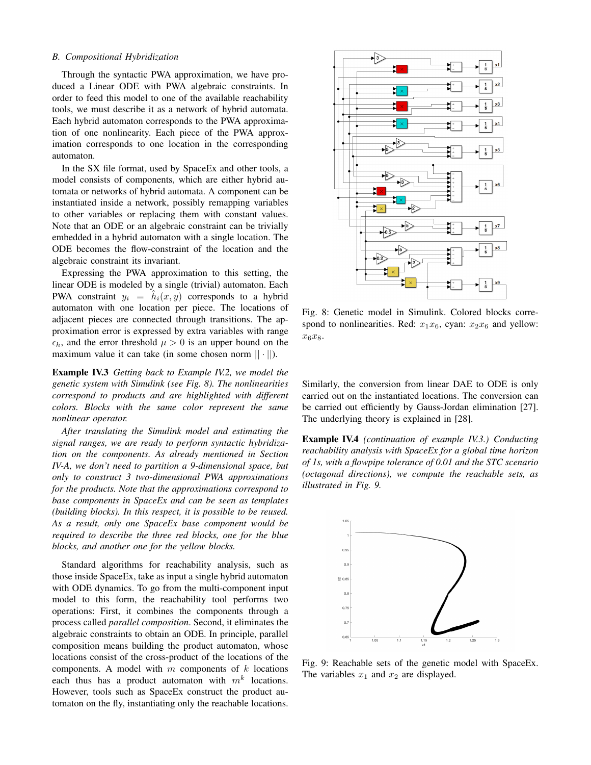#### *B. Compositional Hybridization*

Through the syntactic PWA approximation, we have produced a Linear ODE with PWA algebraic constraints. In order to feed this model to one of the available reachability tools, we must describe it as a network of hybrid automata. Each hybrid automaton corresponds to the PWA approximation of one nonlinearity. Each piece of the PWA approximation corresponds to one location in the corresponding automaton.

In the SX file format, used by SpaceEx and other tools, a model consists of components, which are either hybrid automata or networks of hybrid automata. A component can be instantiated inside a network, possibly remapping variables to other variables or replacing them with constant values. Note that an ODE or an algebraic constraint can be trivially embedded in a hybrid automaton with a single location. The ODE becomes the flow-constraint of the location and the algebraic constraint its invariant.

Expressing the PWA approximation to this setting, the linear ODE is modeled by a single (trivial) automaton. Each PWA constraint  $y_i = \hat{h}_i(x, y)$  corresponds to a hybrid automaton with one location per piece. The locations of adjacent pieces are connected through transitions. The approximation error is expressed by extra variables with range  $\epsilon_h$ , and the error threshold  $\mu > 0$  is an upper bound on the maximum value it can take (in some chosen norm  $|| \cdot ||$ ).

Example IV.3 *Getting back to Example IV.2, we model the genetic system with Simulink (see Fig. 8). The nonlinearities correspond to products and are highlighted with different colors. Blocks with the same color represent the same nonlinear operator.*

*After translating the Simulink model and estimating the signal ranges, we are ready to perform syntactic hybridization on the components. As already mentioned in Section IV-A, we don't need to partition a 9-dimensional space, but only to construct 3 two-dimensional PWA approximations for the products. Note that the approximations correspond to base components in SpaceEx and can be seen as templates (building blocks). In this respect, it is possible to be reused. As a result, only one SpaceEx base component would be required to describe the three red blocks, one for the blue blocks, and another one for the yellow blocks.*

Standard algorithms for reachability analysis, such as those inside SpaceEx, take as input a single hybrid automaton with ODE dynamics. To go from the multi-component input model to this form, the reachability tool performs two operations: First, it combines the components through a process called *parallel composition*. Second, it eliminates the algebraic constraints to obtain an ODE. In principle, parallel composition means building the product automaton, whose locations consist of the cross-product of the locations of the components. A model with  $m$  components of  $k$  locations each thus has a product automaton with  $m^k$  locations. However, tools such as SpaceEx construct the product automaton on the fly, instantiating only the reachable locations.



Fig. 8: Genetic model in Simulink. Colored blocks correspond to nonlinearities. Red:  $x_1x_6$ , cyan:  $x_2x_6$  and yellow:  $x_6x_8.$ 

Similarly, the conversion from linear DAE to ODE is only carried out on the instantiated locations. The conversion can be carried out efficiently by Gauss-Jordan elimination [27]. The underlying theory is explained in [28].

Example IV.4 *(continuation of example IV.3.) Conducting reachability analysis with SpaceEx for a global time horizon of 1s, with a flowpipe tolerance of 0.01 and the STC scenario (octagonal directions), we compute the reachable sets, as illustrated in Fig. 9.*



Fig. 9: Reachable sets of the genetic model with SpaceEx. The variables  $x_1$  and  $x_2$  are displayed.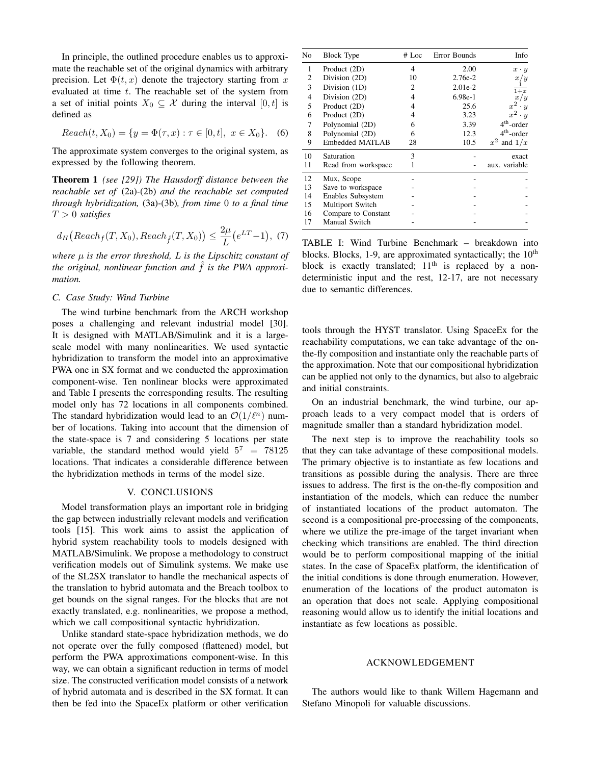In principle, the outlined procedure enables us to approximate the reachable set of the original dynamics with arbitrary precision. Let  $\Phi(t, x)$  denote the trajectory starting from x evaluated at time t. The reachable set of the system from a set of initial points  $X_0 \subseteq \mathcal{X}$  during the interval  $[0, t]$  is defined as

$$
Reach(t, X_0) = \{ y = \Phi(\tau, x) : \tau \in [0, t], \ x \in X_0 \}. \tag{6}
$$

The approximate system converges to the original system, as expressed by the following theorem.

Theorem 1 *(see [29]) The Hausdorff distance between the reachable set of* (2a)*-*(2b) *and the reachable set computed through hybridization,* (3a)*-*(3b)*, from time* 0 *to a final time* T > 0 *satisfies*

$$
d_H\big(Reach_f(T, X_0),Reach_f(T, X_0)\big) \le \frac{2\mu}{L}\big(e^{LT}-1\big),\ (7)
$$

*where* µ *is the error threshold,* L *is the Lipschitz constant of the original, nonlinear function and*  $\hat{f}$  *is the PWA approximation.*

#### *C. Case Study: Wind Turbine*

The wind turbine benchmark from the ARCH workshop poses a challenging and relevant industrial model [30]. It is designed with MATLAB/Simulink and it is a largescale model with many nonlinearities. We used syntactic hybridization to transform the model into an approximative PWA one in SX format and we conducted the approximation component-wise. Ten nonlinear blocks were approximated and Table I presents the corresponding results. The resulting model only has 72 locations in all components combined. The standard hybridization would lead to an  $\mathcal{O}(1/\ell^n)$  number of locations. Taking into account that the dimension of the state-space is 7 and considering 5 locations per state variable, the standard method would yield  $5^7 = 78125$ locations. That indicates a considerable difference between the hybridization methods in terms of the model size.

#### V. CONCLUSIONS

Model transformation plays an important role in bridging the gap between industrially relevant models and verification tools [15]. This work aims to assist the application of hybrid system reachability tools to models designed with MATLAB/Simulink. We propose a methodology to construct verification models out of Simulink systems. We make use of the SL2SX translator to handle the mechanical aspects of the translation to hybrid automata and the Breach toolbox to get bounds on the signal ranges. For the blocks that are not exactly translated, e.g. nonlinearities, we propose a method, which we call compositional syntactic hybridization.

Unlike standard state-space hybridization methods, we do not operate over the fully composed (flattened) model, but perform the PWA approximations component-wise. In this way, we can obtain a significant reduction in terms of model size. The constructed verification model consists of a network of hybrid automata and is described in the SX format. It can then be fed into the SpaceEx platform or other verification

| No | Block Type          | # Loc | Error Bounds | Info                            |
|----|---------------------|-------|--------------|---------------------------------|
| 1  | Product (2D)        | 4     | 2.00         | $x \cdot y$                     |
| 2  | Division (2D)       | 10    | $2.76e-2$    | $x_{\scriptscriptstyle I}$<br>y |
| 3  | Division (1D)       | 2     | $2.01e-2$    | $1+x$                           |
| 4  | Division (2D)       | 4     | 6.98e-1      | x/y                             |
| 5  | Product (2D)        | 4     | 25.6         | $\boldsymbol{x}^2$<br>$\cdot y$ |
| 6  | Product (2D)        | 4     | 3.23         | $x^2 \cdot y$                   |
| 7  | Polynomial (2D)     | 6     | 3.39         | $4th$ -order                    |
| 8  | Polynomial (2D)     | 6     | 12.3         | 4 <sup>th</sup> -order          |
| 9  | Embedded MATLAB     | 28    | 10.5         | $x^2$ and $1/x$                 |
| 10 | Saturation          | 3     |              | exact                           |
| 11 | Read from workspace | 1     |              | aux. variable                   |
| 12 | Mux, Scope          |       |              |                                 |
| 13 | Save to workspace   |       |              |                                 |
| 14 | Enables Subsystem   |       |              |                                 |
| 15 | Multiport Switch    |       |              |                                 |
| 16 | Compare to Constant |       |              |                                 |
| 17 | Manual Switch       |       |              |                                 |

TABLE I: Wind Turbine Benchmark – breakdown into blocks. Blocks, 1-9, are approximated syntactically; the  $10<sup>th</sup>$ block is exactly translated;  $11<sup>th</sup>$  is replaced by a nondeterministic input and the rest, 12-17, are not necessary due to semantic differences.

tools through the HYST translator. Using SpaceEx for the reachability computations, we can take advantage of the onthe-fly composition and instantiate only the reachable parts of the approximation. Note that our compositional hybridization can be applied not only to the dynamics, but also to algebraic and initial constraints.

On an industrial benchmark, the wind turbine, our approach leads to a very compact model that is orders of magnitude smaller than a standard hybridization model.

The next step is to improve the reachability tools so that they can take advantage of these compositional models. The primary objective is to instantiate as few locations and transitions as possible during the analysis. There are three issues to address. The first is the on-the-fly composition and instantiation of the models, which can reduce the number of instantiated locations of the product automaton. The second is a compositional pre-processing of the components, where we utilize the pre-image of the target invariant when checking which transitions are enabled. The third direction would be to perform compositional mapping of the initial states. In the case of SpaceEx platform, the identification of the initial conditions is done through enumeration. However, enumeration of the locations of the product automaton is an operation that does not scale. Applying compositional reasoning would allow us to identify the initial locations and instantiate as few locations as possible.

#### ACKNOWLEDGEMENT

The authors would like to thank Willem Hagemann and Stefano Minopoli for valuable discussions.